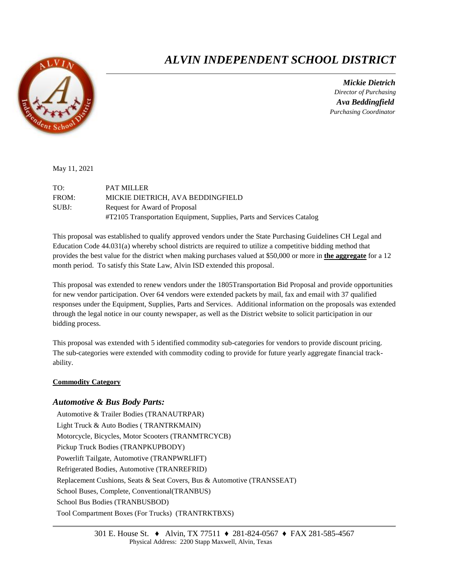

# *ALVIN INDEPENDENT SCHOOL DISTRICT*

 *Mickie Dietrich Director of Purchasing Ava Beddingfield Purchasing Coordinator*

May 11, 2021

| TO:   | <b>PAT MILLER</b>                                                     |
|-------|-----------------------------------------------------------------------|
| FROM: | MICKIE DIETRICH, AVA BEDDINGFIELD                                     |
| SUBJ: | Request for Award of Proposal                                         |
|       | #T2105 Transportation Equipment, Supplies, Parts and Services Catalog |

This proposal was established to qualify approved vendors under the State Purchasing Guidelines CH Legal and Education Code 44.031(a) whereby school districts are required to utilize a competitive bidding method that provides the best value for the district when making purchases valued at \$50,000 or more in **the aggregate** for a 12 month period. To satisfy this State Law, Alvin ISD extended this proposal.

This proposal was extended to renew vendors under the 1805Transportation Bid Proposal and provide opportunities for new vendor participation. Over 64 vendors were extended packets by mail, fax and email with 37 qualified responses under the Equipment, Supplies, Parts and Services. Additional information on the proposals was extended through the legal notice in our county newspaper, as well as the District website to solicit participation in our bidding process.

This proposal was extended with 5 identified commodity sub-categories for vendors to provide discount pricing. The sub-categories were extended with commodity coding to provide for future yearly aggregate financial trackability.

## **Commodity Category**

## *Automotive & Bus Body Parts:*

Automotive & Trailer Bodies (TRANAUTRPAR) Light Truck & Auto Bodies ( TRANTRKMAIN) Motorcycle, Bicycles, Motor Scooters (TRANMTRCYCB) Pickup Truck Bodies (TRANPKUPBODY) Powerlift Tailgate, Automotive (TRANPWRLIFT) Refrigerated Bodies, Automotive (TRANREFRID) Replacement Cushions, Seats & Seat Covers, Bus & Automotive (TRANSSEAT) School Buses, Complete, Conventional(TRANBUS) School Bus Bodies (TRANBUSBOD) Tool Compartment Boxes (For Trucks) (TRANTRKTBXS)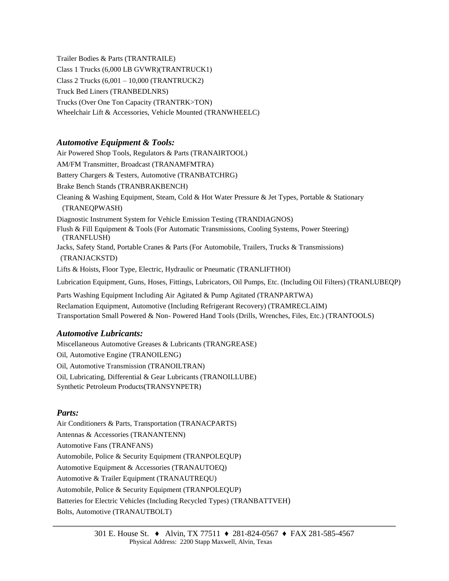Trailer Bodies & Parts (TRANTRAILE) Class 1 Trucks (6,000 LB GVWR)(TRANTRUCK1) Class 2 Trucks (6,001 – 10,000 (TRANTRUCK2) Truck Bed Liners (TRANBEDLNRS) Trucks (Over One Ton Capacity (TRANTRK>TON) Wheelchair Lift & Accessories, Vehicle Mounted (TRANWHEELC)

# *Automotive Equipment & Tools:*

Air Powered Shop Tools, Regulators & Parts (TRANAIRTOOL) AM/FM Transmitter, Broadcast (TRANAMFMTRA) Battery Chargers & Testers, Automotive (TRANBATCHRG) Brake Bench Stands (TRANBRAKBENCH) Cleaning & Washing Equipment, Steam, Cold & Hot Water Pressure & Jet Types, Portable & Stationary (TRANEQPWASH) Diagnostic Instrument System for Vehicle Emission Testing (TRANDIAGNOS) Flush & Fill Equipment & Tools (For Automatic Transmissions, Cooling Systems, Power Steering) (TRANFLUSH) Jacks, Safety Stand, Portable Cranes & Parts (For Automobile, Trailers, Trucks & Transmissions) (TRANJACKSTD) Lifts & Hoists, Floor Type, Electric, Hydraulic or Pneumatic (TRANLIFTHOI) Lubrication Equipment, Guns, Hoses, Fittings, Lubricators, Oil Pumps, Etc. (Including Oil Filters) (TRANLUBEQP) Parts Washing Equipment Including Air Agitated & Pump Agitated (TRANPARTWA) Reclamation Equipment, Automotive (Including Refrigerant Recovery) (TRAMRECLAIM) Transportation Small Powered & Non- Powered Hand Tools (Drills, Wrenches, Files, Etc.) (TRANTOOLS)

# *Automotive Lubricants:*

Miscellaneous Automotive Greases & Lubricants (TRANGREASE) Oil, Automotive Engine (TRANOILENG) Oil, Automotive Transmission (TRANOILTRAN) Oil, Lubricating, Differential & Gear Lubricants (TRANOILLUBE) Synthetic Petroleum Products(TRANSYNPETR)

## *Parts:*

Air Conditioners & Parts, Transportation (TRANACPARTS) Antennas & Accessories (TRANANTENN) Automotive Fans (TRANFANS) Automobile, Police & Security Equipment (TRANPOLEQUP) Automotive Equipment & Accessories (TRANAUTOEQ) Automotive & Trailer Equipment (TRANAUTREQU) Automobile, Police & Security Equipment (TRANPOLEQUP) Batteries for Electric Vehicles (Including Recycled Types) (TRANBATTVEH) Bolts, Automotive (TRANAUTBOLT)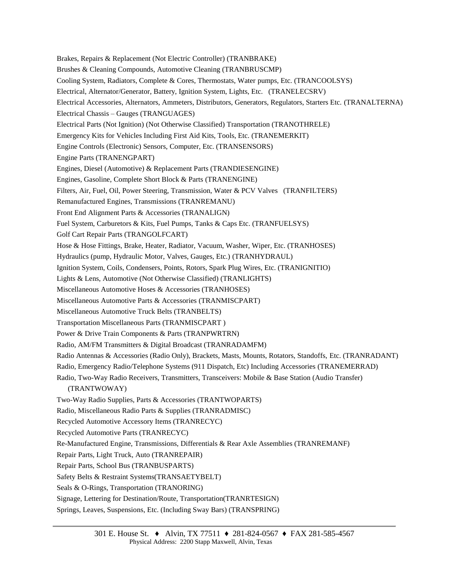Brakes, Repairs & Replacement (Not Electric Controller) (TRANBRAKE) Brushes & Cleaning Compounds, Automotive Cleaning (TRANBRUSCMP) Cooling System, Radiators, Complete & Cores, Thermostats, Water pumps, Etc. (TRANCOOLSYS) Electrical, Alternator/Generator, Battery, Ignition System, Lights, Etc. (TRANELECSRV) Electrical Accessories, Alternators, Ammeters, Distributors, Generators, Regulators, Starters Etc. (TRANALTERNA) Electrical Chassis – Gauges (TRANGUAGES) Electrical Parts (Not Ignition) (Not Otherwise Classified) Transportation (TRANOTHRELE) Emergency Kits for Vehicles Including First Aid Kits, Tools, Etc. (TRANEMERKIT) Engine Controls (Electronic) Sensors, Computer, Etc. (TRANSENSORS) Engine Parts (TRANENGPART) Engines, Diesel (Automotive) & Replacement Parts (TRANDIESENGINE) Engines, Gasoline, Complete Short Block & Parts (TRANENGINE) Filters, Air, Fuel, Oil, Power Steering, Transmission, Water & PCV Valves (TRANFILTERS) Remanufactured Engines, Transmissions (TRANREMANU) Front End Alignment Parts & Accessories (TRANALIGN) Fuel System, Carburetors & Kits, Fuel Pumps, Tanks & Caps Etc. (TRANFUELSYS) Golf Cart Repair Parts (TRANGOLFCART) Hose & Hose Fittings, Brake, Heater, Radiator, Vacuum, Washer, Wiper, Etc. (TRANHOSES) Hydraulics (pump, Hydraulic Motor, Valves, Gauges, Etc.) (TRANHYDRAUL) Ignition System, Coils, Condensers, Points, Rotors, Spark Plug Wires, Etc. (TRANIGNITIO) Lights & Lens, Automotive (Not Otherwise Classified) (TRANLIGHTS) Miscellaneous Automotive Hoses & Accessories (TRANHOSES) Miscellaneous Automotive Parts & Accessories (TRANMISCPART) Miscellaneous Automotive Truck Belts (TRANBELTS) Transportation Miscellaneous Parts (TRANMISCPART ) Power & Drive Train Components & Parts (TRANPWRTRN) Radio, AM/FM Transmitters & Digital Broadcast (TRANRADAMFM) Radio Antennas & Accessories (Radio Only), Brackets, Masts, Mounts, Rotators, Standoffs, Etc. (TRANRADANT) Radio, Emergency Radio/Telephone Systems (911 Dispatch, Etc) Including Accessories (TRANEMERRAD) Radio, Two-Way Radio Receivers, Transmitters, Transceivers: Mobile & Base Station (Audio Transfer) (TRANTWOWAY) Two-Way Radio Supplies, Parts & Accessories (TRANTWOPARTS) Radio, Miscellaneous Radio Parts & Supplies (TRANRADMISC) Recycled Automotive Accessory Items (TRANRECYC) Recycled Automotive Parts (TRANRECYC) Re-Manufactured Engine, Transmissions, Differentials & Rear Axle Assemblies (TRANREMANF) Repair Parts, Light Truck, Auto (TRANREPAIR) Repair Parts, School Bus (TRANBUSPARTS) Safety Belts & Restraint Systems(TRANSAETYBELT) Seals & O-Rings, Transportation (TRANORING) Signage, Lettering for Destination/Route, Transportation(TRANRTESIGN) Springs, Leaves, Suspensions, Etc. (Including Sway Bars) (TRANSPRING)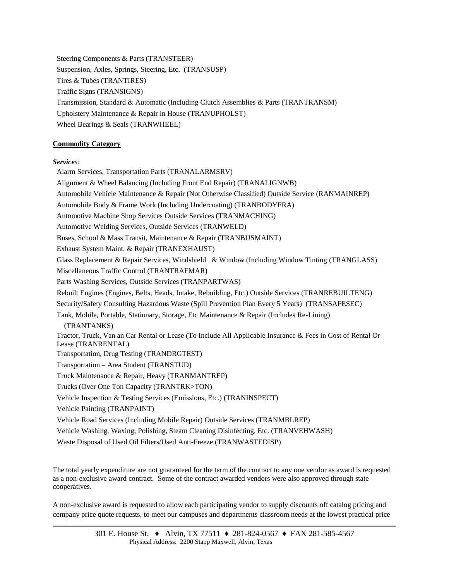Steering Components & Parts (TRANSTEER) Suspension, Axles, Springs, Steering, Etc. (TRANSUSP) Tires & Tubes (TRANTIRES) Traffic Signs (TRANSIGNS) Transmission, Standard & Automatic (Including Clutch Assemblies & Parts (TRANTRANSM) Upholstery Maintenance & Repair in House (TRANUPHOLST) Wheel Bearings & Seals (TRANWHEEL)

## **Commodity Category**

#### *Services:*

Alarm Services, Transportation Parts (TRANALARMSRV) Alignment & Wheel Balancing (Including Front End Repair) (TRANALIGNWB) Automobile Vehicle Maintenance & Repair (Not Otherwise Classified) Outside Service (RANMAINREP) Automobile Body & Frame Work (Including Undercoating) (TRANBODYFRA) Automotive Machine Shop Services Outside Services (TRANMACHING) Automotive Welding Services, Outside Services (TRANWELD) Buses, School & Mass Transit, Maintenance & Repair (TRANBUSMAINT) Exhaust System Maint. & Repair (TRANEXHAUST) Glass Replacement & Repair Services, Windshield & Window (Including Window Tinting (TRANGLASS) Miscellaneous Traffic Control (TRANTRAFMAR) Parts Washing Services, Outside Services (TRANPARTWAS) Rebuilt Engines (Engines, Belts, Heads, Intake, Rebuilding, Etc.) Outside Services (TRANREBUILTENG) Security/Safety Consulting Hazardous Waste (Spill Prevention Plan Every 5 Years) (TRANSAFESEC) Tank, Mobile, Portable, Stationary, Storage, Etc Maintenance & Repair (Includes Re-Lining) (TRANTANKS) Tractor, Truck, Van an Car Rental or Lease (To Include All Applicable Insurance & Fees in Cost of Rental Or Lease (TRANRENTAL) Transportation, Drug Testing (TRANDRGTEST) Transportation – Area Student (TRANSTUD) Truck Maintenance & Repair, Heavy (TRANMANTREP) Trucks (Over One Ton Capacity (TRANTRK>TON) Vehicle Inspection & Testing Services (Emissions, Etc.) (TRANINSPECT) Vehicle Painting (TRANPAINT) Vehicle Road Services (Including Mobile Repair) Outside Services (TRANMBLREP) Vehicle Washing, Waxing, Polishing, Steam Cleaning Disinfecting, Etc. (TRANVEHWASH) Waste Disposal of Used Oil Filters/Used Anti-Freeze (TRANWASTEDISP)

The total yearly expenditure are not guaranteed for the term of the contract to any one vendor as award is requested as a non-exclusive award contract. Some of the contract awarded vendors were also approved through state cooperatives.

A non-exclusive award is requested to allow each participating vendor to supply discounts off catalog pricing and company price quote requests, to meet our campuses and departments classroom needs at the lowest practical price